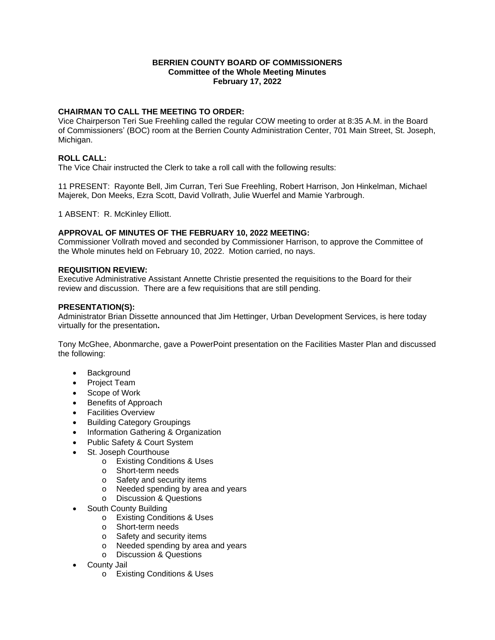## **BERRIEN COUNTY BOARD OF COMMISSIONERS Committee of the Whole Meeting Minutes February 17, 2022**

# **CHAIRMAN TO CALL THE MEETING TO ORDER:**

Vice Chairperson Teri Sue Freehling called the regular COW meeting to order at 8:35 A.M. in the Board of Commissioners' (BOC) room at the Berrien County Administration Center, 701 Main Street, St. Joseph, Michigan.

## **ROLL CALL:**

The Vice Chair instructed the Clerk to take a roll call with the following results:

11 PRESENT: Rayonte Bell, Jim Curran, Teri Sue Freehling, Robert Harrison, Jon Hinkelman, Michael Majerek, Don Meeks, Ezra Scott, David Vollrath, Julie Wuerfel and Mamie Yarbrough.

1 ABSENT: R. McKinley Elliott.

## **APPROVAL OF MINUTES OF THE FEBRUARY 10, 2022 MEETING:**

Commissioner Vollrath moved and seconded by Commissioner Harrison, to approve the Committee of the Whole minutes held on February 10, 2022. Motion carried, no nays.

#### **REQUISITION REVIEW:**

Executive Administrative Assistant Annette Christie presented the requisitions to the Board for their review and discussion. There are a few requisitions that are still pending.

#### **PRESENTATION(S):**

Administrator Brian Dissette announced that Jim Hettinger, Urban Development Services, is here today virtually for the presentation**.**

Tony McGhee, Abonmarche, gave a PowerPoint presentation on the Facilities Master Plan and discussed the following:

- Background
- Project Team
- Scope of Work
- Benefits of Approach
- **•** Facilities Overview
- Building Category Groupings
- Information Gathering & Organization
- Public Safety & Court System
- St. Joseph Courthouse
	- o Existing Conditions & Uses
	- o Short-term needs
	- o Safety and security items
	- o Needed spending by area and years
	- o Discussion & Questions
- South County Building
	- o Existing Conditions & Uses
	- o Short-term needs
	- o Safety and security items
	- o Needed spending by area and years
	- o Discussion & Questions
- County Jail
	- o Existing Conditions & Uses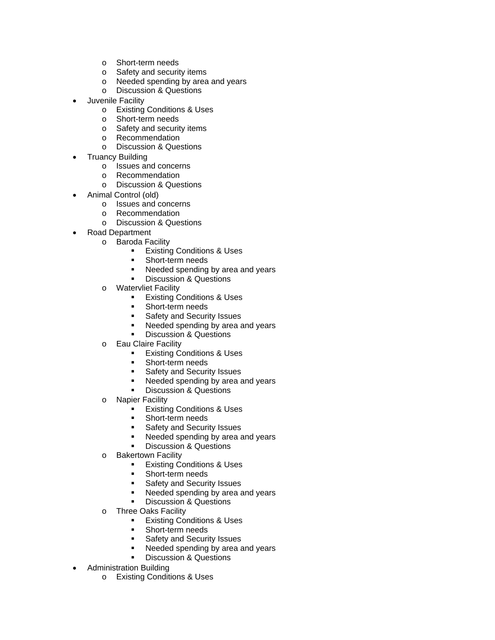- o Short-term needs
- o Safety and security items
- o Needed spending by area and years
- o Discussion & Questions
- Juvenile Facility
	- o Existing Conditions & Uses
	- o Short-term needs
	- o Safety and security items
	- o Recommendation
	- o Discussion & Questions
- Truancy Building
	- o Issues and concerns
	- o Recommendation
	- o Discussion & Questions
- Animal Control (old)
	- o Issues and concerns
	- o Recommendation
	- o Discussion & Questions
- Road Department
	- o Baroda Facility
		- **Existing Conditions & Uses**
		- **Short-term needs**
		- Needed spending by area and years
		- **Discussion & Questions**
	- o Watervliet Facility
		- **Existing Conditions & Uses**
		- **Short-term needs**
		- Safety and Security Issues
		- Needed spending by area and years
		- **Discussion & Questions**
	- o Eau Claire Facility
		- **Existing Conditions & Uses**
		- **Short-term needs**
		- **Safety and Security Issues**
		- Needed spending by area and years
		- Discussion & Questions
	- o Napier Facility
		- **Existing Conditions & Uses**
		- Short-term needs
		- **Safety and Security Issues**
		- Needed spending by area and years
		- **Discussion & Questions**
	- o Bakertown Facility
		- **Existing Conditions & Uses**
		- Short-term needs
		- Safety and Security Issues<br>Needed spending by area a
		- Needed spending by area and years
		- Discussion & Questions
	- o Three Oaks Facility
		- **Existing Conditions & Uses**
		- **Short-term needs**
		- **Safety and Security Issues**
		- Needed spending by area and years
		- Discussion & Questions
- Administration Building
	- o Existing Conditions & Uses